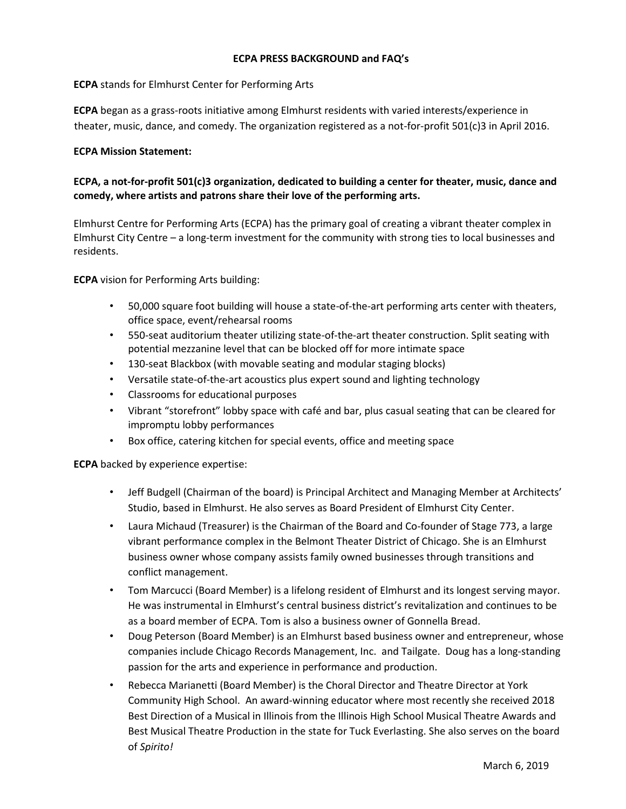#### **ECPA PRESS BACKGROUND and FAQ's**

### **ECPA** stands for Elmhurst Center for Performing Arts

**ECPA** began as a grass-roots initiative among Elmhurst residents with varied interests/experience in theater, music, dance, and comedy. The organization registered as a not-for-profit 501(c)3 in April 2016.

### **ECPA Mission Statement:**

# **ECPA, a not-for-profit 501(c)3 organization, dedicated to building a center for theater, music, dance and comedy, where artists and patrons share their love of the performing arts.**

Elmhurst Centre for Performing Arts (ECPA) has the primary goal of creating a vibrant theater complex in Elmhurst City Centre – a long-term investment for the community with strong ties to local businesses and residents.

**ECPA** vision for Performing Arts building:

- 50,000 square foot building will house a state-of-the-art performing arts center with theaters, office space, event/rehearsal rooms
- 550-seat auditorium theater utilizing state-of-the-art theater construction. Split seating with potential mezzanine level that can be blocked off for more intimate space
- 130-seat Blackbox (with movable seating and modular staging blocks)
- Versatile state-of-the-art acoustics plus expert sound and lighting technology
- Classrooms for educational purposes
- Vibrant "storefront" lobby space with café and bar, plus casual seating that can be cleared for impromptu lobby performances
- Box office, catering kitchen for special events, office and meeting space

**ECPA** backed by experience expertise:

- Jeff Budgell (Chairman of the board) is Principal Architect and Managing Member at Architects' Studio, based in Elmhurst. He also serves as Board President of Elmhurst City Center.
- Laura Michaud (Treasurer) is the Chairman of the Board and Co-founder of Stage 773, a large vibrant performance complex in the Belmont Theater District of Chicago. She is an Elmhurst business owner whose company assists family owned businesses through transitions and conflict management.
- Tom Marcucci (Board Member) is a lifelong resident of Elmhurst and its longest serving mayor. He was instrumental in Elmhurst's central business district's revitalization and continues to be as a board member of ECPA. Tom is also a business owner of Gonnella Bread.
- Doug Peterson (Board Member) is an Elmhurst based business owner and entrepreneur, whose companies include Chicago Records Management, Inc. and Tailgate. Doug has a long-standing passion for the arts and experience in performance and production.
- Rebecca Marianetti (Board Member) is the Choral Director and Theatre Director at York Community High School. An award-winning educator where most recently she received 2018 Best Direction of a Musical in Illinois from the Illinois High School Musical Theatre Awards and Best Musical Theatre Production in the state for Tuck Everlasting. She also serves on the board of *Spirito!*